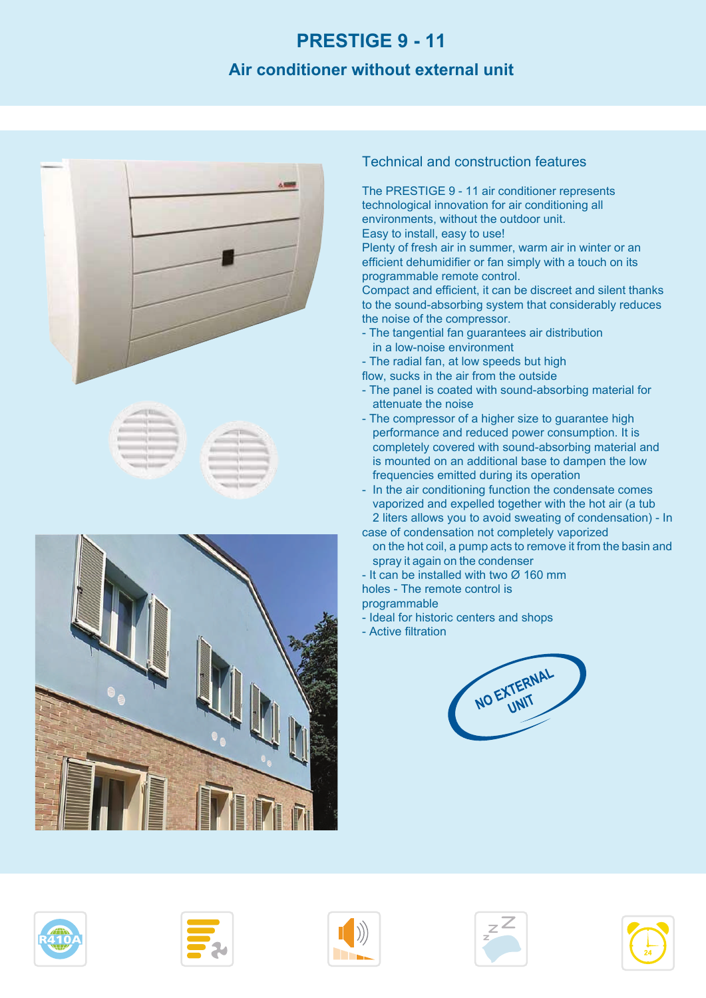# **PRESTIGE 9 - 11**

#### **Air conditioner without external unit**







#### Technical and construction features

The PRESTIGE 9 - 11 air conditioner represents technological innovation for air conditioning all environments, without the outdoor unit. Easy to install, easy to use!

Plenty of fresh air in summer, warm air in winter or an efficient dehumidifier or fan simply with a touch on its programmable remote control.

Compact and efficient, it can be discreet and silent thanks to the sound-absorbing system that considerably reduces the noise of the compressor.

- The tangential fan guarantees air distribution in a low-noise environment
- The radial fan, at low speeds but high
- flow, sucks in the air from the outside
- The panel is coated with sound-absorbing material for attenuate the noise
- The compressor of a higher size to guarantee high performance and reduced power consumption. It is completely covered with sound-absorbing material and is mounted on an additional base to dampen the low frequencies emitted during its operation
- In the air conditioning function the condensate comes vaporized and expelled together with the hot air (a tub 2 liters allows you to avoid sweating of condensation) - In
- case of condensation not completely vaporized on the hot coil, a pump acts to remove it from the basin and spray it again on the condenser
- It can be installed with two  $\varnothing$  160 mm
- holes The remote control is
- programmable
- Ideal for historic centers and shops
- Active filtration